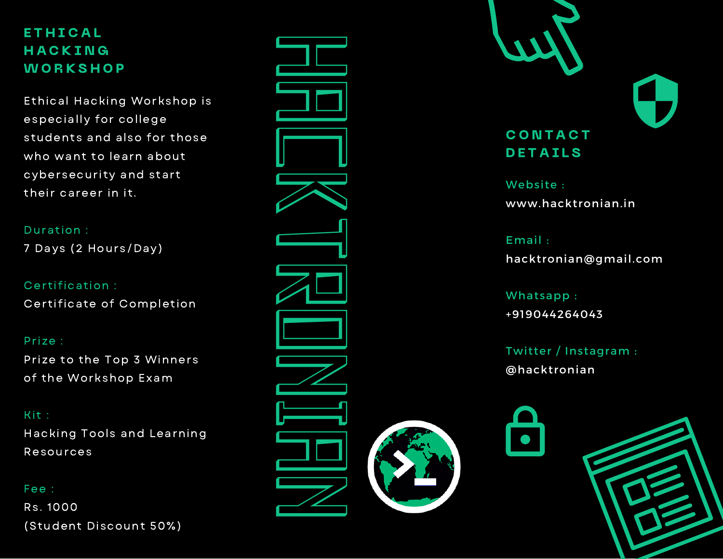# **ETHICAL** H A C K I N G WORKSHOP

Ethical Hacking Workshop is especially for college students and also for those who want to learn about cybersecurity and start their career in it.

Duration :

7 Days (2 Hours/Day)

Certification: Certificate of Completion

Prize :

Prize to the Top 3 Winners of the Workshop Exam

Kit: Hacking Tools and Learning **Resources** 

Fee : R s . 1 0 0 0 (Student Discount 50%)





Website : www.hacktronian.in

E m a il : hacktronian@gmail.com

Whatsapp: +919044264 0 4 3

Twitter / Instagram : @hacktronian